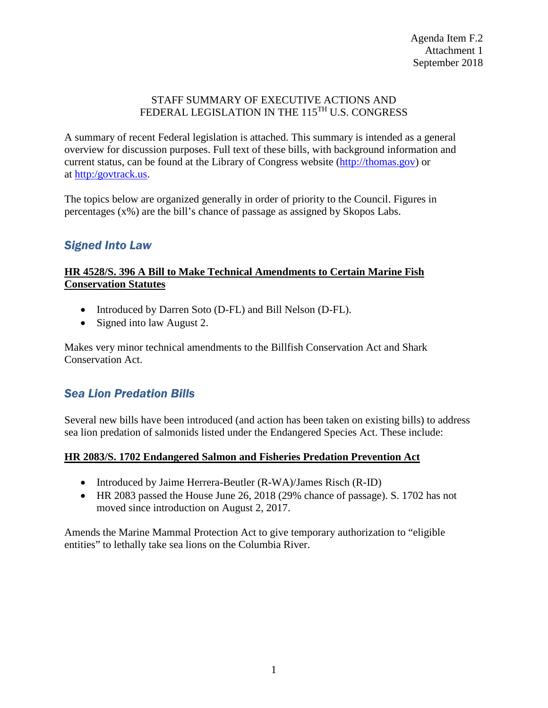#### STAFF SUMMARY OF EXECUTIVE ACTIONS AND FEDERAL LEGISLATION IN THE 115<sup>TH</sup> U.S. CONGRESS

A summary of recent Federal legislation is attached. This summary is intended as a general overview for discussion purposes. Full text of these bills, with background information and current status, can be found at the Library of Congress website [\(http://thomas.gov\)](http://thomas.gov/) or at [http:/govtrack.us.](http://govtrack.us/)

The topics below are organized generally in order of priority to the Council. Figures in percentages (x%) are the bill's chance of passage as assigned by Skopos Labs.

## *Signed Into Law*

#### **HR 4528/S. 396 A Bill to Make Technical Amendments to Certain Marine Fish Conservation Statutes**

- Introduced by Darren Soto (D-FL) and Bill Nelson (D-FL).
- Signed into law August 2.

Makes very minor technical amendments to the Billfish Conservation Act and Shark Conservation Act.

## *Sea Lion Predation Bills*

Several new bills have been introduced (and action has been taken on existing bills) to address sea lion predation of salmonids listed under the Endangered Species Act. These include:

#### **HR 2083/S. 1702 Endangered Salmon and Fisheries Predation Prevention Act**

- Introduced by Jaime Herrera-Beutler (R-WA)/James Risch (R-ID)
- HR 2083 passed the House June 26, 2018 (29% chance of passage). S. 1702 has not moved since introduction on August 2, 2017.

Amends the Marine Mammal Protection Act to give temporary authorization to "eligible entities" to lethally take sea lions on the Columbia River.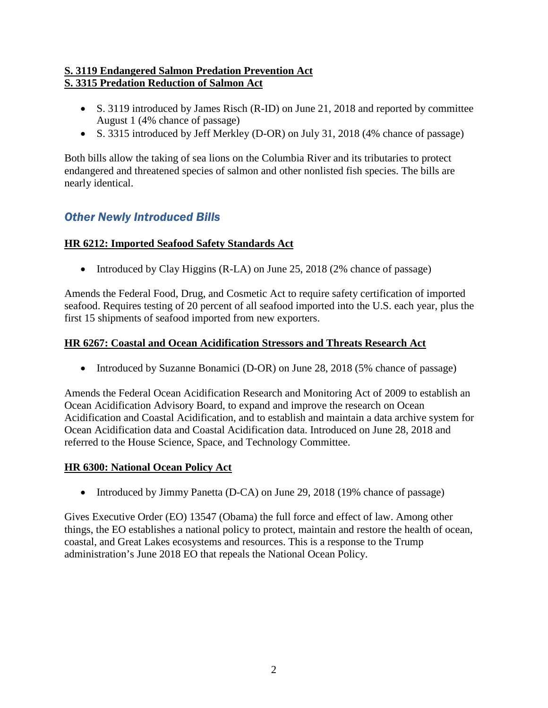### **S. 3119 Endangered Salmon Predation Prevention Act S. 3315 Predation Reduction of Salmon Act**

- S. 3119 introduced by James Risch (R-ID) on June 21, 2018 and reported by committee August 1 (4% chance of passage)
- S. 3315 introduced by Jeff Merkley (D-OR) on July 31, 2018 (4% chance of passage)

Both bills allow the taking of sea lions on the Columbia River and its tributaries to protect endangered and threatened species of salmon and other nonlisted fish species. The bills are nearly identical.

# *Other Newly Introduced Bills*

### **HR 6212: Imported Seafood Safety Standards Act**

• Introduced by Clay Higgins (R-LA) on June 25, 2018 (2% chance of passage)

Amends the Federal Food, Drug, and Cosmetic Act to require safety certification of imported seafood. Requires testing of 20 percent of all seafood imported into the U.S. each year, plus the first 15 shipments of seafood imported from new exporters.

### **HR 6267: Coastal and Ocean Acidification Stressors and Threats Research Act**

• Introduced by Suzanne Bonamici (D-OR) on June 28, 2018 (5% chance of passage)

Amends the Federal Ocean Acidification Research and Monitoring Act of 2009 to establish an Ocean Acidification Advisory Board, to expand and improve the research on Ocean Acidification and Coastal Acidification, and to establish and maintain a data archive system for Ocean Acidification data and Coastal Acidification data. Introduced on June 28, 2018 and referred to the House Science, Space, and Technology Committee.

## **HR 6300: National Ocean Policy Act**

• Introduced by Jimmy Panetta (D-CA) on June 29, 2018 (19% chance of passage)

Gives Executive Order (EO) 13547 (Obama) the full force and effect of law. Among other things, the EO establishes a national policy to protect, maintain and restore the health of ocean, coastal, and Great Lakes ecosystems and resources. This is a response to the Trump administration's June 2018 EO that repeals the National Ocean Policy.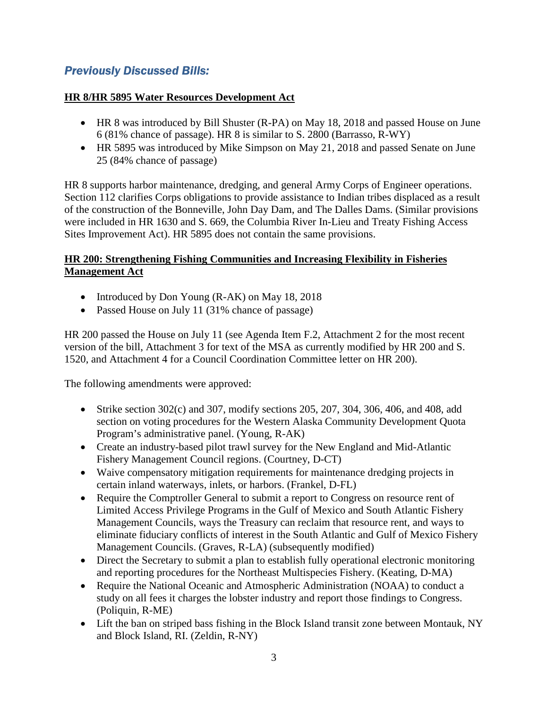# *Previously Discussed Bills:*

#### **HR 8/HR 5895 Water Resources Development Act**

- HR 8 was introduced by Bill Shuster (R-PA) on May 18, 2018 and passed House on June 6 (81% chance of passage). HR 8 is similar to S. 2800 (Barrasso, R-WY)
- HR 5895 was introduced by Mike Simpson on May 21, 2018 and passed Senate on June 25 (84% chance of passage)

HR 8 supports harbor maintenance, dredging, and general Army Corps of Engineer operations. Section 112 clarifies Corps obligations to provide assistance to Indian tribes displaced as a result of the construction of the Bonneville, John Day Dam, and The Dalles Dams. (Similar provisions were included in HR 1630 and S. 669, the Columbia River In-Lieu and Treaty Fishing Access Sites Improvement Act). HR 5895 does not contain the same provisions.

#### **HR 200: Strengthening Fishing Communities and Increasing Flexibility in Fisheries Management Act**

- Introduced by Don Young (R-AK) on May 18, 2018
- Passed House on July 11 (31% chance of passage)

HR 200 passed the House on July 11 (see Agenda Item F.2, Attachment 2 for the most recent version of the bill, Attachment 3 for text of the MSA as currently modified by HR 200 and S. 1520, and Attachment 4 for a Council Coordination Committee letter on HR 200).

The following amendments were approved:

- Strike section  $302(c)$  and  $307$ , modify sections  $205$ ,  $207$ ,  $304$ ,  $306$ ,  $406$ , and  $408$ , add section on voting procedures for the Western Alaska Community Development Quota Program's administrative panel. (Young, R-AK)
- Create an industry-based pilot trawl survey for the New England and Mid-Atlantic Fishery Management Council regions. (Courtney, D-CT)
- Waive compensatory mitigation requirements for maintenance dredging projects in certain inland waterways, inlets, or harbors. (Frankel, D-FL)
- Require the Comptroller General to submit a report to Congress on resource rent of Limited Access Privilege Programs in the Gulf of Mexico and South Atlantic Fishery Management Councils, ways the Treasury can reclaim that resource rent, and ways to eliminate fiduciary conflicts of interest in the South Atlantic and Gulf of Mexico Fishery Management Councils. (Graves, R-LA) (subsequently modified)
- Direct the Secretary to submit a plan to establish fully operational electronic monitoring and reporting procedures for the Northeast Multispecies Fishery. (Keating, D-MA)
- Require the National Oceanic and Atmospheric Administration (NOAA) to conduct a study on all fees it charges the lobster industry and report those findings to Congress. (Poliquin, R-ME)
- Lift the ban on striped bass fishing in the Block Island transit zone between Montauk, NY and Block Island, RI. (Zeldin, R-NY)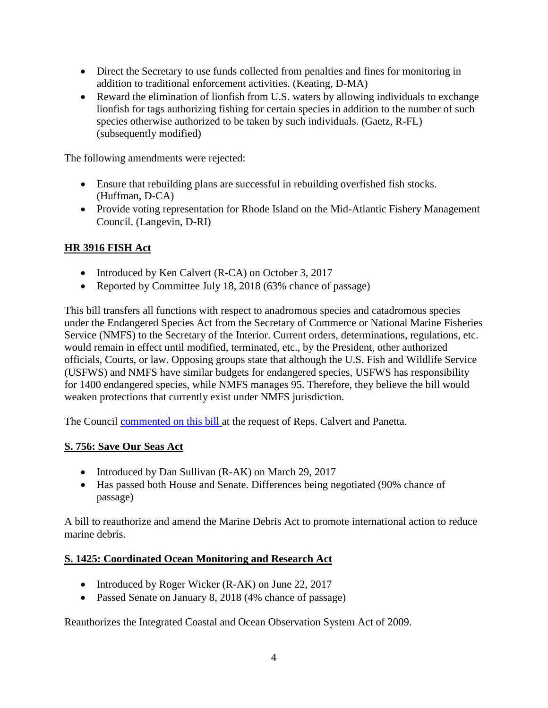- Direct the Secretary to use funds collected from penalties and fines for monitoring in addition to traditional enforcement activities. (Keating, D-MA)
- Reward the elimination of lionfish from U.S. waters by allowing individuals to exchange lionfish for tags authorizing fishing for certain species in addition to the number of such species otherwise authorized to be taken by such individuals. (Gaetz, R-FL) (subsequently modified)

The following amendments were rejected:

- Ensure that rebuilding plans are successful in rebuilding overfished fish stocks. (Huffman, D-CA)
- Provide voting representation for Rhode Island on the Mid-Atlantic Fishery Management Council. (Langevin, D-RI)

## **HR 3916 FISH Act**

- Introduced by Ken Calvert (R-CA) on October 3, 2017
- Reported by Committee July 18, 2018 (63% chance of passage)

This bill transfers all functions with respect to anadromous species and catadromous species under the Endangered Species Act from the Secretary of Commerce or National Marine Fisheries Service (NMFS) to the Secretary of the Interior. Current orders, determinations, regulations, etc. would remain in effect until modified, terminated, etc., by the President, other authorized officials, Courts, or law. Opposing groups state that although the U.S. Fish and Wildlife Service (USFWS) and NMFS have similar budgets for endangered species, USFWS has responsibility for 1400 endangered species, while NMFS manages 95. Therefore, they believe the bill would weaken protections that currently exist under NMFS jurisdiction.

The Council **commented on this bill** at the request of Reps. Calvert and Panetta.

#### **S. 756: Save Our Seas Act**

- Introduced by Dan Sullivan (R-AK) on March 29, 2017
- Has passed both House and Senate. Differences being negotiated (90% chance of passage)

A bill to reauthorize and amend the Marine Debris Act to promote international action to reduce marine debris.

#### **S. 1425: Coordinated Ocean Monitoring and Research Act**

- Introduced by Roger Wicker (R-AK) on June 22, 2017
- Passed Senate on January 8, 2018 (4% chance of passage)

Reauthorizes the Integrated Coastal and Ocean Observation System Act of 2009.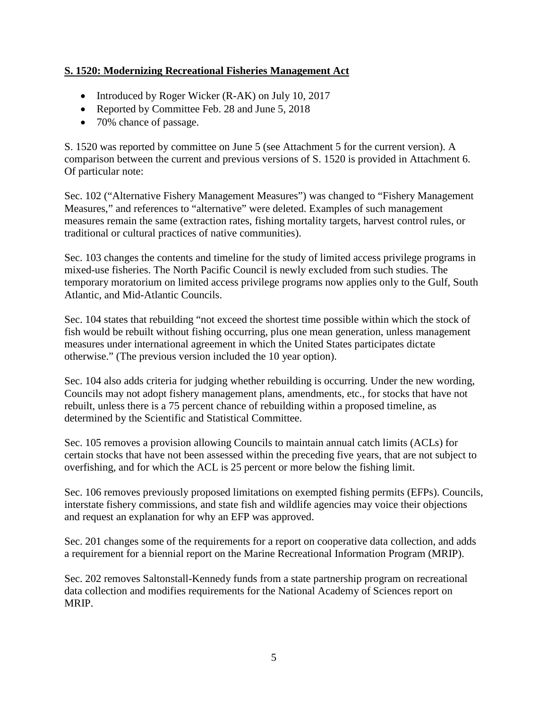### **S. 1520: Modernizing Recreational Fisheries Management Act**

- Introduced by Roger Wicker (R-AK) on July 10, 2017
- Reported by Committee Feb. 28 and June 5, 2018
- 70% chance of passage.

S. 1520 was reported by committee on June 5 (see Attachment 5 for the current version). A comparison between the current and previous versions of S. 1520 is provided in Attachment 6. Of particular note:

Sec. 102 ("Alternative Fishery Management Measures") was changed to "Fishery Management Measures," and references to "alternative" were deleted. Examples of such management measures remain the same (extraction rates, fishing mortality targets, harvest control rules, or traditional or cultural practices of native communities).

Sec. 103 changes the contents and timeline for the study of limited access privilege programs in mixed-use fisheries. The North Pacific Council is newly excluded from such studies. The temporary moratorium on limited access privilege programs now applies only to the Gulf, South Atlantic, and Mid-Atlantic Councils.

Sec. 104 states that rebuilding "not exceed the shortest time possible within which the stock of fish would be rebuilt without fishing occurring, plus one mean generation, unless management measures under international agreement in which the United States participates dictate otherwise." (The previous version included the 10 year option).

Sec. 104 also adds criteria for judging whether rebuilding is occurring. Under the new wording, Councils may not adopt fishery management plans, amendments, etc., for stocks that have not rebuilt, unless there is a 75 percent chance of rebuilding within a proposed timeline, as determined by the Scientific and Statistical Committee.

Sec. 105 removes a provision allowing Councils to maintain annual catch limits (ACLs) for certain stocks that have not been assessed within the preceding five years, that are not subject to overfishing, and for which the ACL is 25 percent or more below the fishing limit.

Sec. 106 removes previously proposed limitations on exempted fishing permits (EFPs). Councils, interstate fishery commissions, and state fish and wildlife agencies may voice their objections and request an explanation for why an EFP was approved.

Sec. 201 changes some of the requirements for a report on cooperative data collection, and adds a requirement for a biennial report on the Marine Recreational Information Program (MRIP).

Sec. 202 removes Saltonstall-Kennedy funds from a state partnership program on recreational data collection and modifies requirements for the National Academy of Sciences report on MRIP.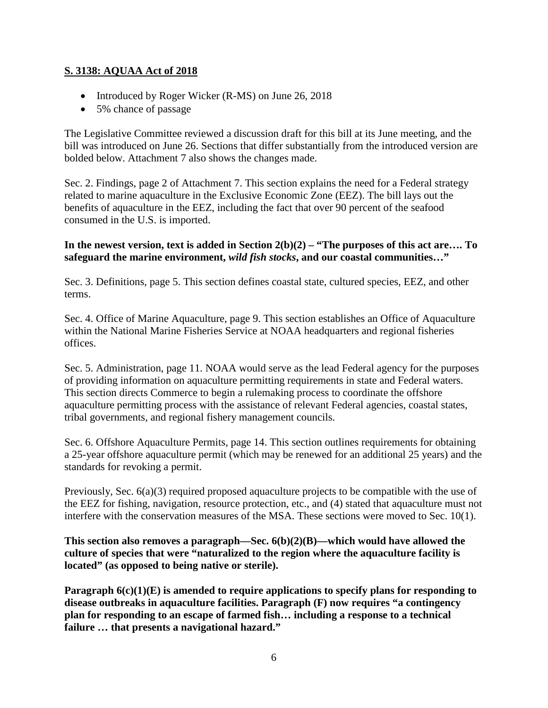#### **S. 3138: AQUAA Act of 2018**

- Introduced by Roger Wicker (R-MS) on June 26, 2018
- 5% chance of passage

The Legislative Committee reviewed a discussion draft for this bill at its June meeting, and the bill was introduced on June 26. Sections that differ substantially from the introduced version are bolded below. Attachment 7 also shows the changes made.

Sec. 2. Findings, page 2 of Attachment 7. This section explains the need for a Federal strategy related to marine aquaculture in the Exclusive Economic Zone (EEZ). The bill lays out the benefits of aquaculture in the EEZ, including the fact that over 90 percent of the seafood consumed in the U.S. is imported.

#### **In the newest version, text is added in Section 2(b)(2) – "The purposes of this act are…. To safeguard the marine environment,** *wild fish stocks***, and our coastal communities…"**

Sec. 3. Definitions, page 5. This section defines coastal state, cultured species, EEZ, and other terms.

Sec. 4. Office of Marine Aquaculture, page 9. This section establishes an Office of Aquaculture within the National Marine Fisheries Service at NOAA headquarters and regional fisheries offices.

Sec. 5. Administration, page 11. NOAA would serve as the lead Federal agency for the purposes of providing information on aquaculture permitting requirements in state and Federal waters. This section directs Commerce to begin a rulemaking process to coordinate the offshore aquaculture permitting process with the assistance of relevant Federal agencies, coastal states, tribal governments, and regional fishery management councils.

Sec. 6. Offshore Aquaculture Permits, page 14. This section outlines requirements for obtaining a 25-year offshore aquaculture permit (which may be renewed for an additional 25 years) and the standards for revoking a permit.

Previously, Sec. 6(a)(3) required proposed aquaculture projects to be compatible with the use of the EEZ for fishing, navigation, resource protection, etc., and (4) stated that aquaculture must not interfere with the conservation measures of the MSA. These sections were moved to Sec. 10(1).

**This section also removes a paragraph—Sec. 6(b)(2)(B)—which would have allowed the culture of species that were "naturalized to the region where the aquaculture facility is located" (as opposed to being native or sterile).**

**Paragraph 6(c)(1)(E) is amended to require applications to specify plans for responding to disease outbreaks in aquaculture facilities. Paragraph (F) now requires "a contingency plan for responding to an escape of farmed fish… including a response to a technical failure … that presents a navigational hazard."**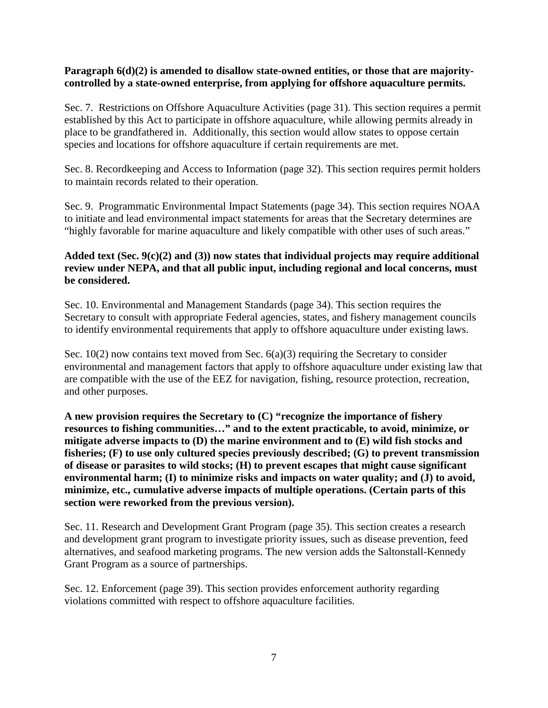#### Paragraph  $6(d)(2)$  is amended to disallow state-owned entities, or those that are majority**controlled by a state-owned enterprise, from applying for offshore aquaculture permits.**

Sec. 7. Restrictions on Offshore Aquaculture Activities (page 31). This section requires a permit established by this Act to participate in offshore aquaculture, while allowing permits already in place to be grandfathered in. Additionally, this section would allow states to oppose certain species and locations for offshore aquaculture if certain requirements are met.

Sec. 8. Recordkeeping and Access to Information (page 32). This section requires permit holders to maintain records related to their operation.

Sec. 9. Programmatic Environmental Impact Statements (page 34). This section requires NOAA to initiate and lead environmental impact statements for areas that the Secretary determines are "highly favorable for marine aquaculture and likely compatible with other uses of such areas."

#### **Added text (Sec. 9(c)(2) and (3)) now states that individual projects may require additional review under NEPA, and that all public input, including regional and local concerns, must be considered.**

Sec. 10. Environmental and Management Standards (page 34). This section requires the Secretary to consult with appropriate Federal agencies, states, and fishery management councils to identify environmental requirements that apply to offshore aquaculture under existing laws.

Sec.  $10(2)$  now contains text moved from Sec.  $6(a)(3)$  requiring the Secretary to consider environmental and management factors that apply to offshore aquaculture under existing law that are compatible with the use of the EEZ for navigation, fishing, resource protection, recreation, and other purposes.

**A new provision requires the Secretary to (C) "recognize the importance of fishery resources to fishing communities…" and to the extent practicable, to avoid, minimize, or mitigate adverse impacts to (D) the marine environment and to (E) wild fish stocks and fisheries; (F) to use only cultured species previously described; (G) to prevent transmission of disease or parasites to wild stocks; (H) to prevent escapes that might cause significant environmental harm; (I) to minimize risks and impacts on water quality; and (J) to avoid, minimize, etc., cumulative adverse impacts of multiple operations. (Certain parts of this section were reworked from the previous version).**

Sec. 11. Research and Development Grant Program (page 35). This section creates a research and development grant program to investigate priority issues, such as disease prevention, feed alternatives, and seafood marketing programs. The new version adds the Saltonstall-Kennedy Grant Program as a source of partnerships.

Sec. 12. Enforcement (page 39). This section provides enforcement authority regarding violations committed with respect to offshore aquaculture facilities.